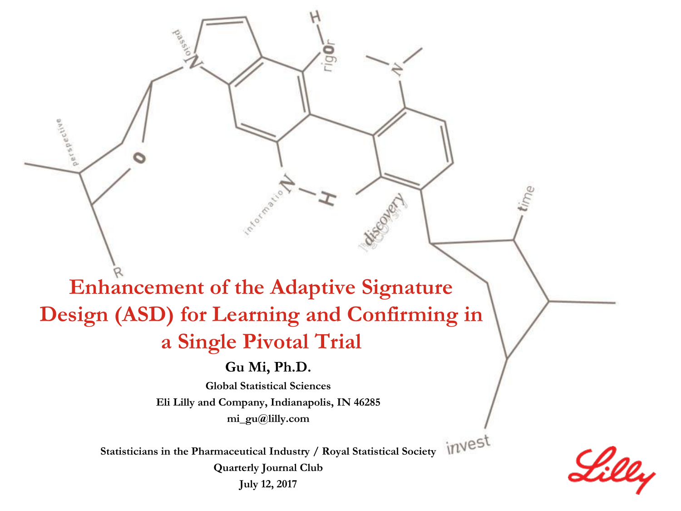**Enhancement of the Adaptive Signature Design (ASD) for Learning and Confirming in a Single Pivotal Trial**

jerspective

igor

#### **Gu Mi, Ph.D.**

**Global Statistical Sciences Eli Lilly and Company, Indianapolis, IN 46285 mi\_gu@lilly.com**

**Statisticians in the Pharmaceutical Industry / Royal Statistical Society** 

**Quarterly Journal Club July 12, 2017**

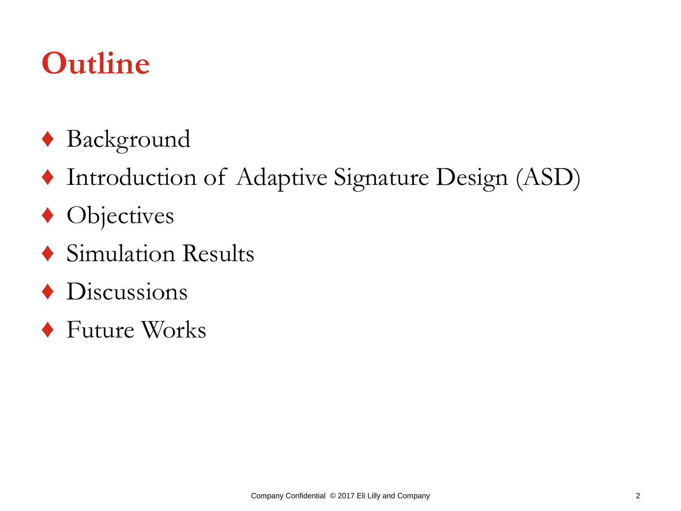## **Outline**

- ♦ Background
- ♦ Introduction of Adaptive Signature Design (ASD)
- ◆ Objectives
- ♦ Simulation Results
- ♦ Discussions
- ♦ Future Works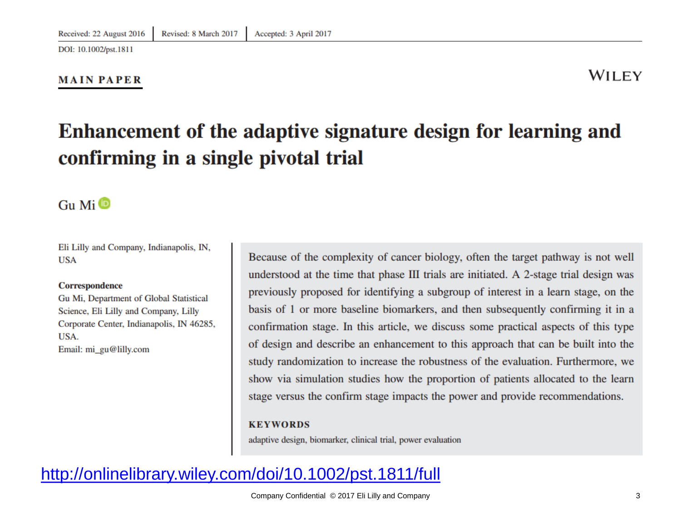DOI: 10.1002/pst.1811

#### **MAIN PAPER**

#### Enhancement of the adaptive signature design for learning and confirming in a single pivotal trial

#### $Gu$  Mi $\bullet$

Eli Lilly and Company, Indianapolis, IN, **USA** 

#### Correspondence

Gu Mi, Department of Global Statistical Science, Eli Lilly and Company, Lilly Corporate Center, Indianapolis, IN 46285, USA. Email: mi gu@lilly.com

Because of the complexity of cancer biology, often the target pathway is not well understood at the time that phase III trials are initiated. A 2-stage trial design was previously proposed for identifying a subgroup of interest in a learn stage, on the basis of 1 or more baseline biomarkers, and then subsequently confirming it in a confirmation stage. In this article, we discuss some practical aspects of this type of design and describe an enhancement to this approach that can be built into the study randomization to increase the robustness of the evaluation. Furthermore, we show via simulation studies how the proportion of patients allocated to the learn stage versus the confirm stage impacts the power and provide recommendations.

#### **KEYWORDS**

adaptive design, biomarker, clinical trial, power evaluation

#### <http://onlinelibrary.wiley.com/doi/10.1002/pst.1811/full>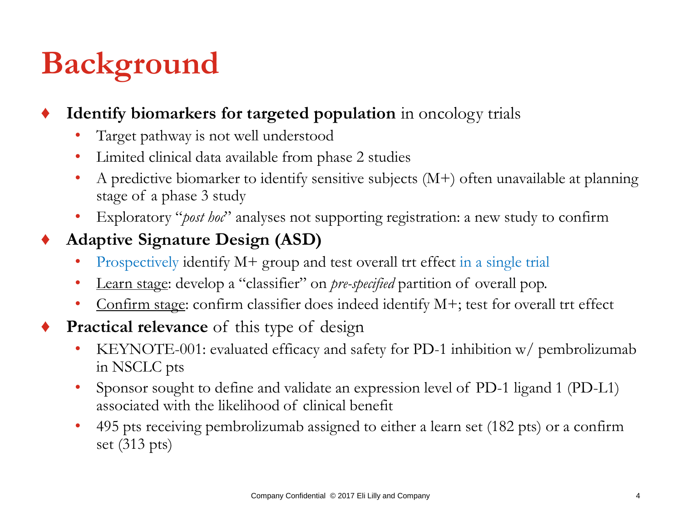# **Background**

#### **Identify biomarkers for targeted population** in oncology trials

- Target pathway is not well understood
- Limited clinical data available from phase 2 studies
- A predictive biomarker to identify sensitive subjects (M+) often unavailable at planning stage of a phase 3 study
- Exploratory "*post hoc*" analyses not supporting registration: a new study to confirm

#### ♦ **Adaptive Signature Design (ASD)**

- Prospectively identify M+ group and test overall trt effect in a single trial
- Learn stage: develop a "classifier" on *pre-specified* partition of overall pop.
- Confirm stage: confirm classifier does indeed identify M+; test for overall trt effect
- ♦ **Practical relevance** of this type of design
	- KEYNOTE-001: evaluated efficacy and safety for PD-1 inhibition w/ pembrolizumab in NSCLC pts
	- Sponsor sought to define and validate an expression level of PD-1 ligand 1 (PD-L1) associated with the likelihood of clinical benefit
	- 495 pts receiving pembrolizumab assigned to either a learn set (182 pts) or a confirm set (313 pts)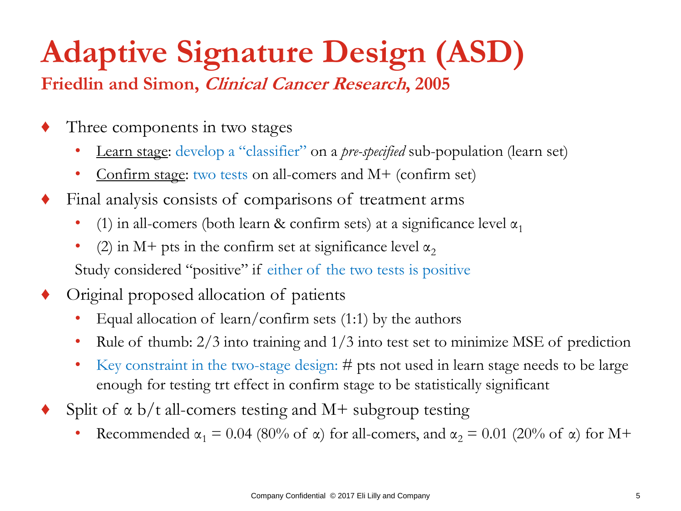# **Adaptive Signature Design (ASD)**

**Friedlin and Simon, Clinical Cancer Research, 2005**

- Three components in two stages
	- Learn stage: develop a "classifier" on a *pre-specified* sub-population (learn set)
	- Confirm stage: two tests on all-comers and M+ (confirm set)
- Final analysis consists of comparisons of treatment arms
	- (1) in all-comers (both learn & confirm sets) at a significance level  $\alpha_1$
	- (2) in M+ pts in the confirm set at significance level  $\alpha_2$ Study considered "positive" if either of the two tests is positive
- Original proposed allocation of patients
	- Equal allocation of learn/confirm sets (1:1) by the authors
	- Rule of thumb:  $2/3$  into training and  $1/3$  into test set to minimize MSE of prediction
	- Key constraint in the two-stage design: # pts not used in learn stage needs to be large enough for testing trt effect in confirm stage to be statistically significant
- Split of  $\alpha$  b/t all-comers testing and M+ subgroup testing
	- Recommended  $\alpha_1 = 0.04$  (80% of  $\alpha$ ) for all-comers, and  $\alpha_2 = 0.01$  (20% of  $\alpha$ ) for M+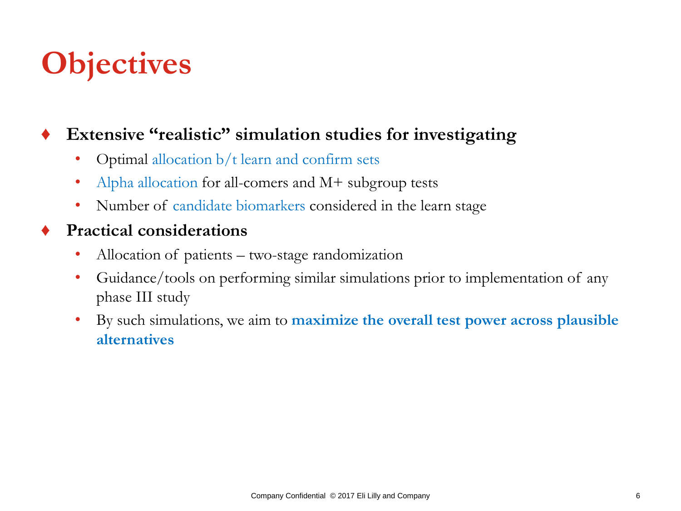## **Objectives**

#### **Extensive "realistic" simulation studies for investigating**

- Optimal allocation b/t learn and confirm sets
- Alpha allocation for all-comers and M+ subgroup tests
- Number of candidate biomarkers considered in the learn stage

#### **Practical considerations**

- Allocation of patients two-stage randomization
- Guidance/tools on performing similar simulations prior to implementation of any phase III study
- By such simulations, we aim to **maximize the overall test power across plausible alternatives**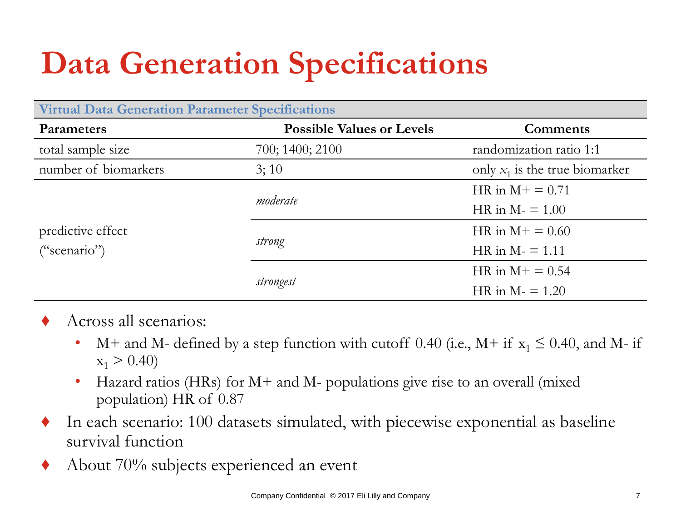# **Data Generation Specifications**

| <b>Virtual Data Generation Parameter Specifications</b> |                                  |                                  |
|---------------------------------------------------------|----------------------------------|----------------------------------|
| <b>Parameters</b>                                       | <b>Possible Values or Levels</b> | Comments                         |
| total sample size                                       | 700; 1400; 2100                  | randomization ratio 1:1          |
| number of biomarkers                                    | 3;10                             | only $x_1$ is the true biomarker |
| predictive effect<br>("scenario")                       | moderate                         | $HR in M+ = 0.71$                |
|                                                         |                                  | HR in $M = 1.00$                 |
|                                                         | strong                           | HR in $M$ + = 0.60               |
|                                                         |                                  | $HR in M = 1.11$                 |
|                                                         | strongest                        | HR in $M$ + = 0.54               |
|                                                         |                                  | HR in $M = 1.20$                 |

- Across all scenarios:
	- M+ and M- defined by a step function with cutoff 0.40 (i.e., M+ if  $x_1 \le 0.40$ , and M- if  $x_1 > 0.40$
	- Hazard ratios (HRs) for M+ and M- populations give rise to an overall (mixed population) HR of 0.87
- In each scenario: 100 datasets simulated, with piecewise exponential as baseline survival function
- About  $70\%$  subjects experienced an event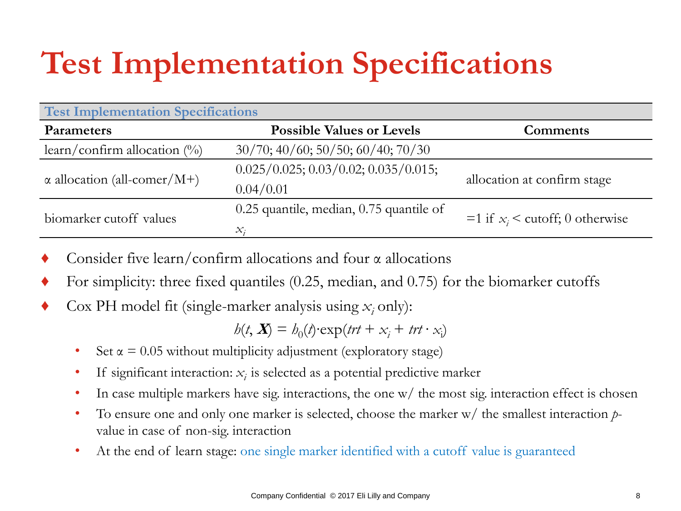# **Test Implementation Specifications**

| <b>Test Implementation Specifications</b> |                                         |                                     |  |
|-------------------------------------------|-----------------------------------------|-------------------------------------|--|
| <b>Parameters</b>                         | <b>Possible Values or Levels</b>        | Comments                            |  |
| learn/confirm allocation $\binom{0}{0}$   | $30/70$ ; 40/60; 50/50; 60/40; 70/30    |                                     |  |
| $\alpha$ allocation (all-comer/M+)        | 0.025/0.025; 0.03/0.02; 0.035/0.015;    | allocation at confirm stage         |  |
|                                           | 0.04/0.01                               |                                     |  |
| biomarker cutoff values                   | 0.25 quantile, median, 0.75 quantile of | $=1$ if $x_i$ < cutoff; 0 otherwise |  |
|                                           | $\mathcal{X}_i$                         |                                     |  |

- Consider five learn/confirm allocations and four  $\alpha$  allocations
- For simplicity: three fixed quantiles  $(0.25, \text{median}, \text{and } 0.75)$  for the biomarker cutoffs
- $\bullet$  Cox PH model fit (single-marker analysis using  $x_i$  only):

$$
h(t, \mathbf{X}) = h_0(t) \cdot \exp(trt + x_i + trt \cdot x_i)
$$

- Set  $\alpha = 0.05$  without multiplicity adjustment (exploratory stage)
- If significant interaction:  $x_i$  is selected as a potential predictive marker
- In case multiple markers have sig. interactions, the one w/ the most sig. interaction effect is chosen
- To ensure one and only one marker is selected, choose the marker w/ the smallest interaction *p*value in case of non-sig. interaction
- At the end of learn stage: one single marker identified with a cutoff value is guaranteed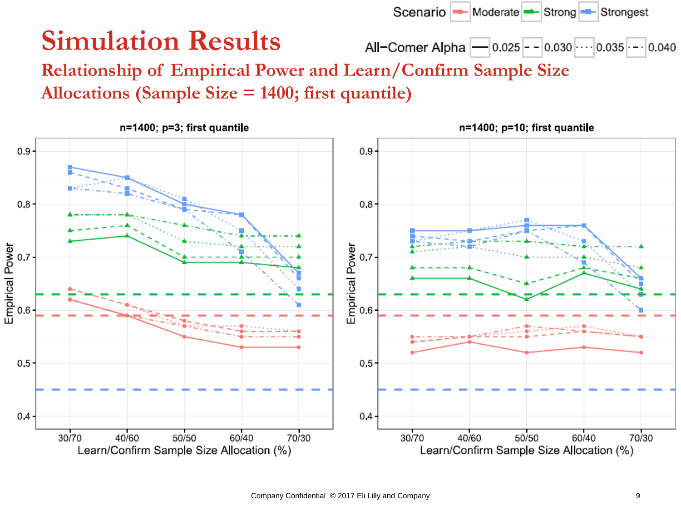#### Scenario Moderate-<del>■</del>Strong Strongest

## **Simulation Results**

All-Comer Alpha - $-|0.025|$ – – $|0.030|$ ····  $0.035 - 0.040$ 

**Relationship of Empirical Power and Learn/Confirm Sample Size Allocations (Sample Size = 1400; first quantile)**

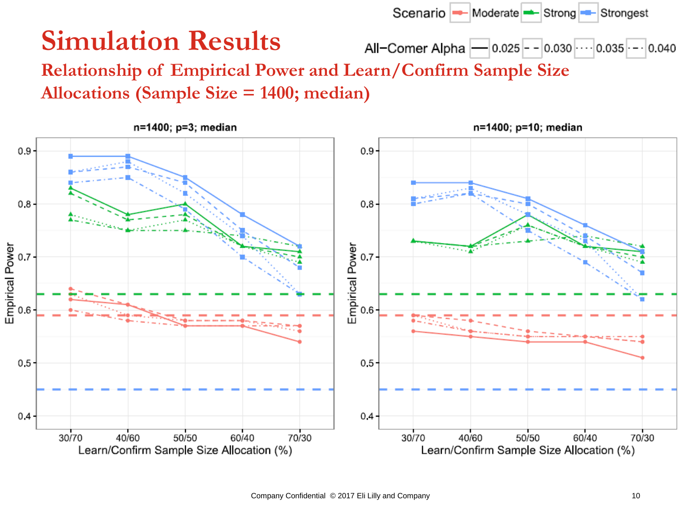Scenario Moderate - Strong Strongest

## **Simulation Results**

All-Comer Alpha - 0.025 - - 0.030 ...

**Relationship of Empirical Power and Learn/Confirm Sample Size Allocations (Sample Size = 1400; median)**



 $0.035 - 0.040$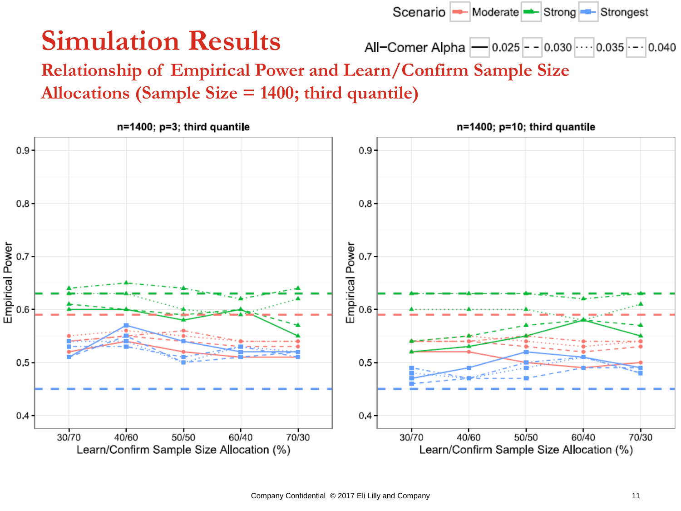#### Scenario Moderate - Strong Strongest

## **Simulation Results**

All-Comer Alpha  $-$  0.025 - - 0.030  $\cdots$  $0.035 - 0.040$ 

**Relationship of Empirical Power and Learn/Confirm Sample Size Allocations (Sample Size = 1400; third quantile)**

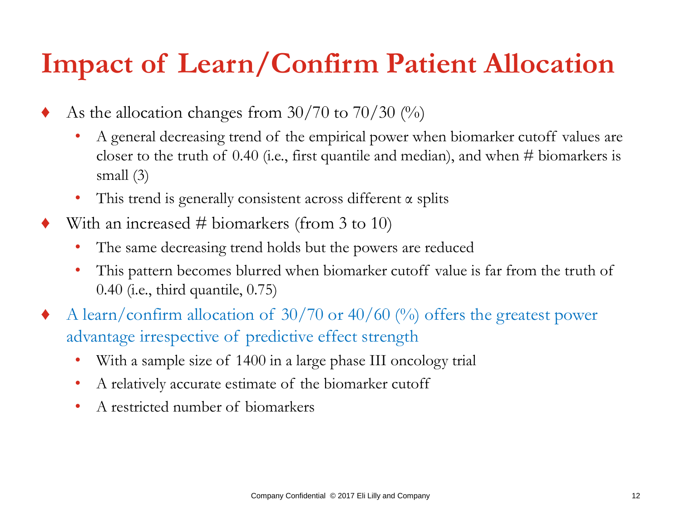## **Impact of Learn/Confirm Patient Allocation**

- As the allocation changes from  $30/70$  to  $70/30$  (%)
	- A general decreasing trend of the empirical power when biomarker cutoff values are closer to the truth of 0.40 (i.e., first quantile and median), and when # biomarkers is small (3)
	- This trend is generally consistent across different α splits
- With an increased # biomarkers (from 3 to 10)
	- The same decreasing trend holds but the powers are reduced
	- This pattern becomes blurred when biomarker cutoff value is far from the truth of 0.40 (i.e., third quantile, 0.75)
- $\blacklozenge$  A learn/confirm allocation of 30/70 or 40/60 (%) offers the greatest power advantage irrespective of predictive effect strength
	- With a sample size of 1400 in a large phase III oncology trial
	- A relatively accurate estimate of the biomarker cutoff
	- A restricted number of biomarkers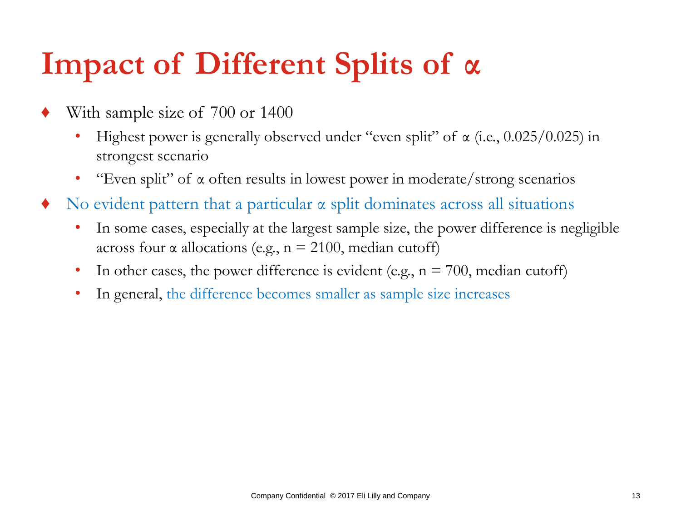## **Impact of Different Splits of α**

- With sample size of 700 or 1400
	- Highest power is generally observed under "even split" of  $\alpha$  (i.e., 0.025/0.025) in strongest scenario
	- "Even split" of α often results in lowest power in moderate/strong scenarios
- No evident pattern that a particular  $\alpha$  split dominates across all situations
	- In some cases, especially at the largest sample size, the power difference is negligible across four  $\alpha$  allocations (e.g.,  $n = 2100$ , median cutoff)
	- In other cases, the power difference is evident (e.g.,  $n = 700$ , median cutoff)
	- In general, the difference becomes smaller as sample size increases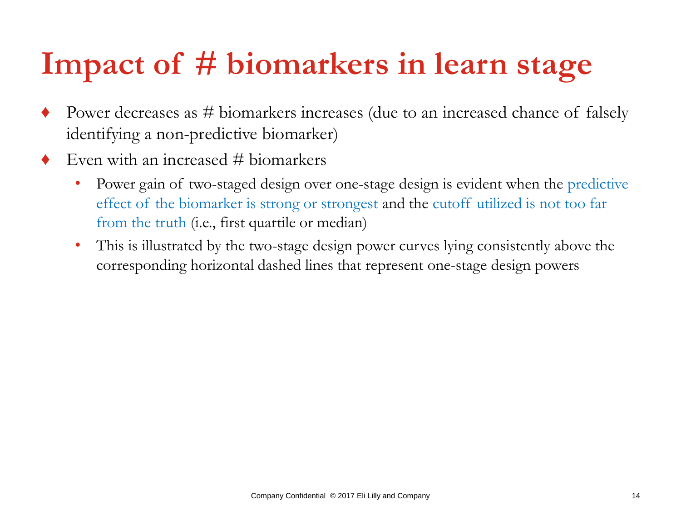## **Impact of # biomarkers in learn stage**

- Power decreases as # biomarkers increases (due to an increased chance of falsely identifying a non-predictive biomarker)
- Even with an increased  $#$  biomarkers
	- Power gain of two-staged design over one-stage design is evident when the predictive effect of the biomarker is strong or strongest and the cutoff utilized is not too far from the truth (i.e., first quartile or median)
	- This is illustrated by the two-stage design power curves lying consistently above the corresponding horizontal dashed lines that represent one-stage design powers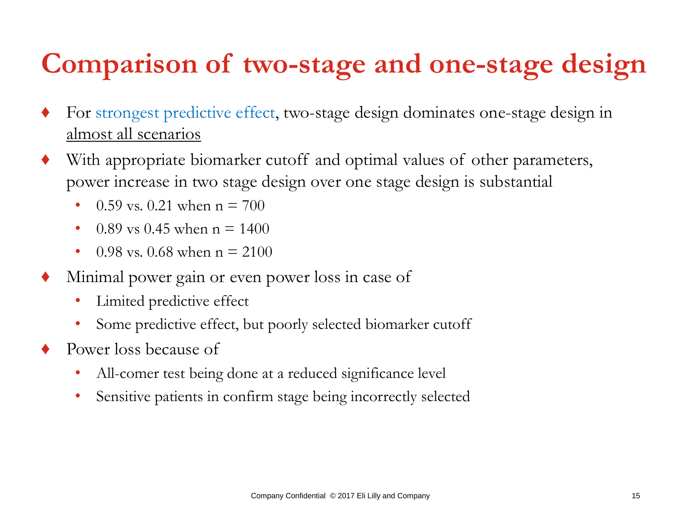## **Comparison of two-stage and one-stage design**

- For strongest predictive effect, two-stage design dominates one-stage design in almost all scenarios
- With appropriate biomarker cutoff and optimal values of other parameters, power increase in two stage design over one stage design is substantial
	- $0.59$  vs.  $0.21$  when  $n = 700$
	- 0.89 vs 0.45 when  $n = 1400$
	- 0.98 vs. 0.68 when  $n = 2100$
- Minimal power gain or even power loss in case of
	- Limited predictive effect
	- Some predictive effect, but poorly selected biomarker cutoff
- Power loss because of
	- All-comer test being done at a reduced significance level
	- Sensitive patients in confirm stage being incorrectly selected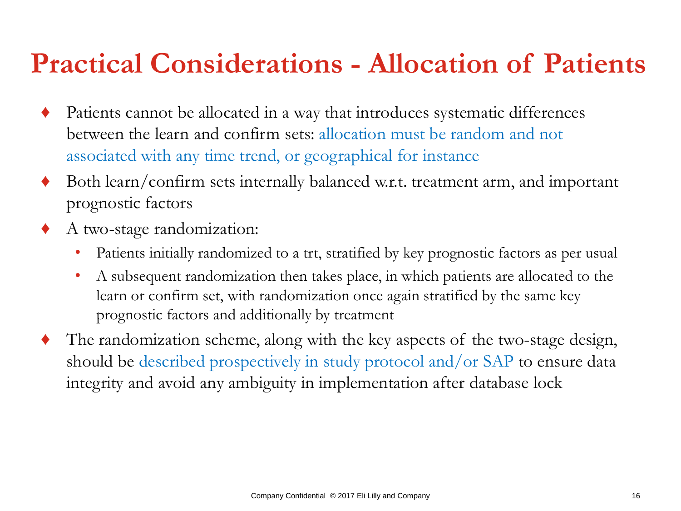## **Practical Considerations - Allocation of Patients**

- Patients cannot be allocated in a way that introduces systematic differences between the learn and confirm sets: allocation must be random and not associated with any time trend, or geographical for instance
- ♦ Both learn/confirm sets internally balanced w.r.t. treatment arm, and important prognostic factors
- A two-stage randomization:
	- Patients initially randomized to a trt, stratified by key prognostic factors as per usual
	- A subsequent randomization then takes place, in which patients are allocated to the learn or confirm set, with randomization once again stratified by the same key prognostic factors and additionally by treatment
- ♦ The randomization scheme, along with the key aspects of the two-stage design, should be described prospectively in study protocol and/or SAP to ensure data integrity and avoid any ambiguity in implementation after database lock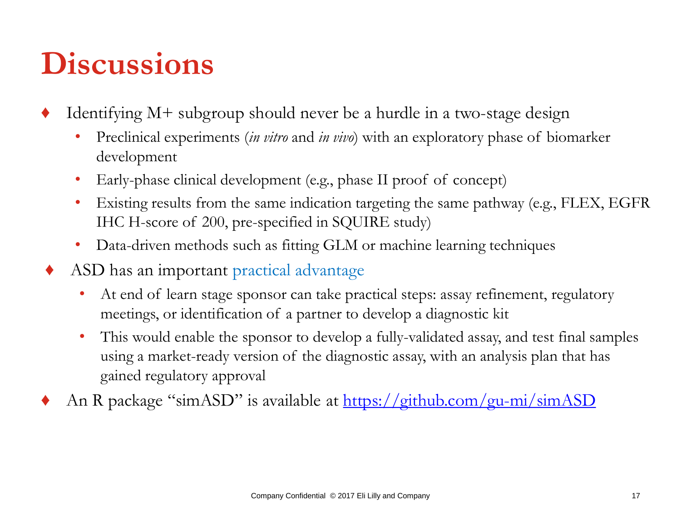## **Discussions**

- Identifying  $M+$  subgroup should never be a hurdle in a two-stage design
	- Preclinical experiments (*in vitro* and *in vivo*) with an exploratory phase of biomarker development
	- Early-phase clinical development (e.g., phase II proof of concept)
	- Existing results from the same indication targeting the same pathway (e.g., FLEX, EGFR IHC H-score of 200, pre-specified in SQUIRE study)
	- Data-driven methods such as fitting GLM or machine learning techniques
- ASD has an important practical advantage
	- At end of learn stage sponsor can take practical steps: assay refinement, regulatory meetings, or identification of a partner to develop a diagnostic kit
	- This would enable the sponsor to develop a fully-validated assay, and test final samples using a market-ready version of the diagnostic assay, with an analysis plan that has gained regulatory approval
- An R package "simASD" is available at <https://github.com/gu-mi/simASD>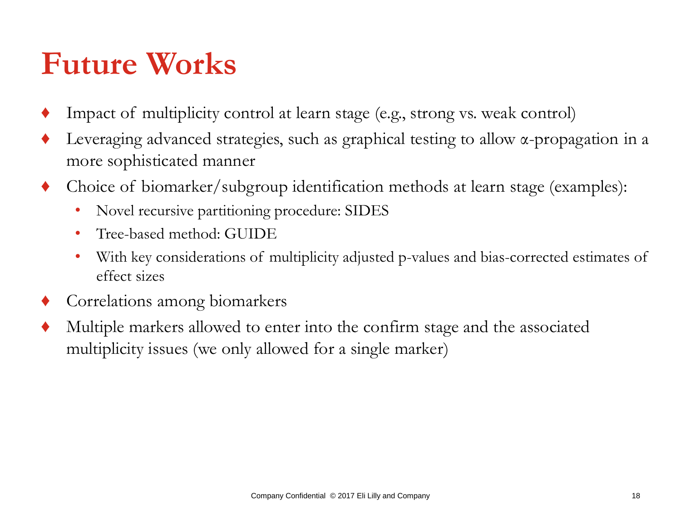## **Future Works**

- Impact of multiplicity control at learn stage (e.g., strong vs. weak control)
- Leveraging advanced strategies, such as graphical testing to allow  $\alpha$ -propagation in a more sophisticated manner
- Choice of biomarker/subgroup identification methods at learn stage (examples):
	- Novel recursive partitioning procedure: SIDES
	- Tree-based method: GUIDE
	- With key considerations of multiplicity adjusted p-values and bias-corrected estimates of effect sizes
- Correlations among biomarkers
- Multiple markers allowed to enter into the confirm stage and the associated multiplicity issues (we only allowed for a single marker)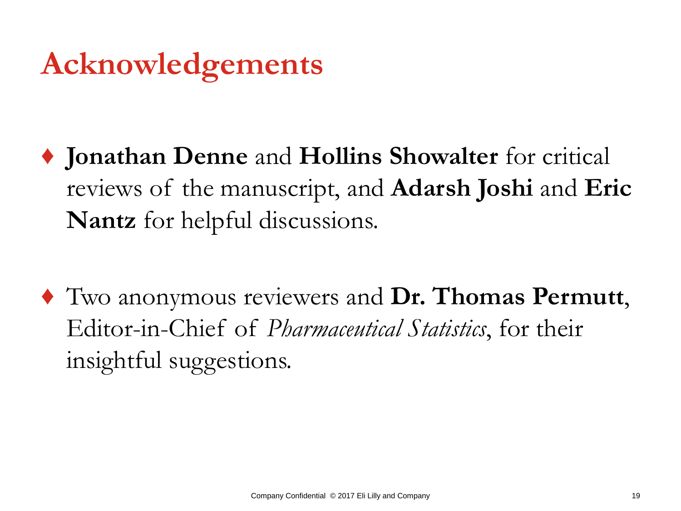## **Acknowledgements**

- ♦ **Jonathan Denne** and **Hollins Showalter** for critical reviews of the manuscript, and **Adarsh Joshi** and **Eric Nantz** for helpful discussions.
- ♦ Two anonymous reviewers and **Dr. Thomas Permutt**, Editor-in-Chief of *Pharmaceutical Statistics*, for their insightful suggestions.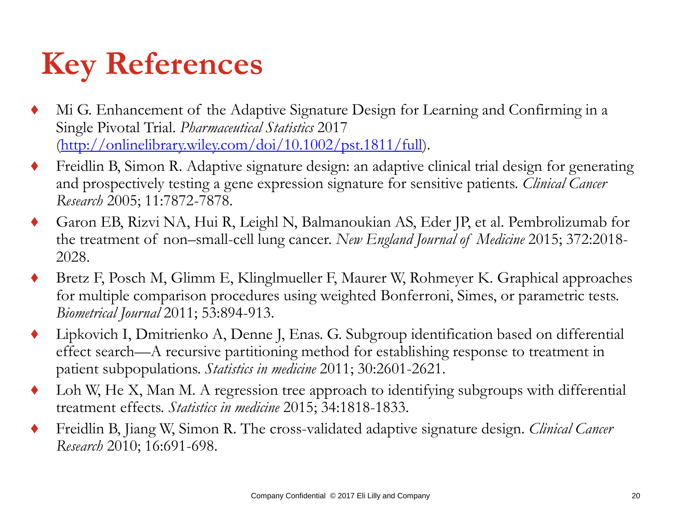## **Key References**

- ♦ Mi G. Enhancement of the Adaptive Signature Design for Learning and Confirming in a Single Pivotal Trial. *Pharmaceutical Statistics* 2017 [\(http://onlinelibrary.wiley.com/doi/10.1002/pst.1811/full](http://onlinelibrary.wiley.com/doi/10.1002/pst.1811/full)).
- Freidlin B, Simon R. Adaptive signature design: an adaptive clinical trial design for generating and prospectively testing a gene expression signature for sensitive patients. *Clinical Cancer Research* 2005; 11:7872-7878.
- ♦ Garon EB, Rizvi NA, Hui R, Leighl N, Balmanoukian AS, Eder JP, et al. Pembrolizumab for the treatment of non–small-cell lung cancer. *New England Journal of Medicine* 2015; 372:2018- 2028.
- Bretz F, Posch M, Glimm E, Klinglmueller F, Maurer W, Rohmeyer K. Graphical approaches for multiple comparison procedures using weighted Bonferroni, Simes, or parametric tests. *Biometrical Journal* 2011; 53:894-913.
- Lipkovich I, Dmitrienko A, Denne J, Enas. G. Subgroup identification based on differential effect search—A recursive partitioning method for establishing response to treatment in patient subpopulations. *Statistics in medicine* 2011; 30:2601-2621.
- ♦ Loh W, He X, Man M. A regression tree approach to identifying subgroups with differential treatment effects. *Statistics in medicine* 2015; 34:1818-1833.
- ♦ Freidlin B, Jiang W, Simon R. The cross-validated adaptive signature design. *Clinical Cancer Research* 2010; 16:691-698.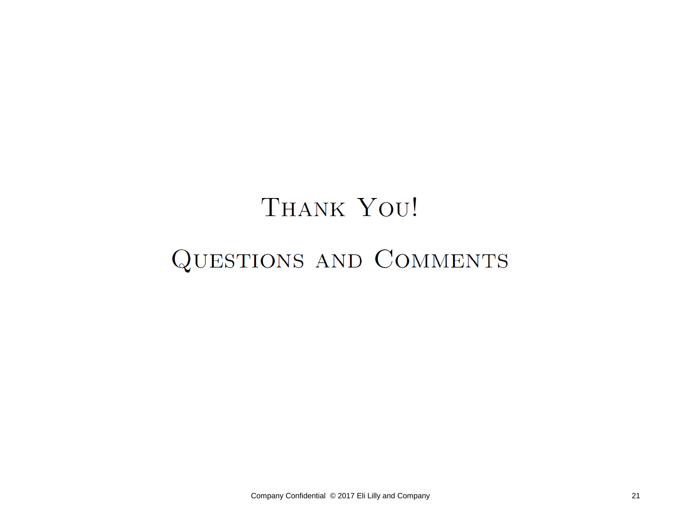## THANK YOU!

### **QUESTIONS AND COMMENTS**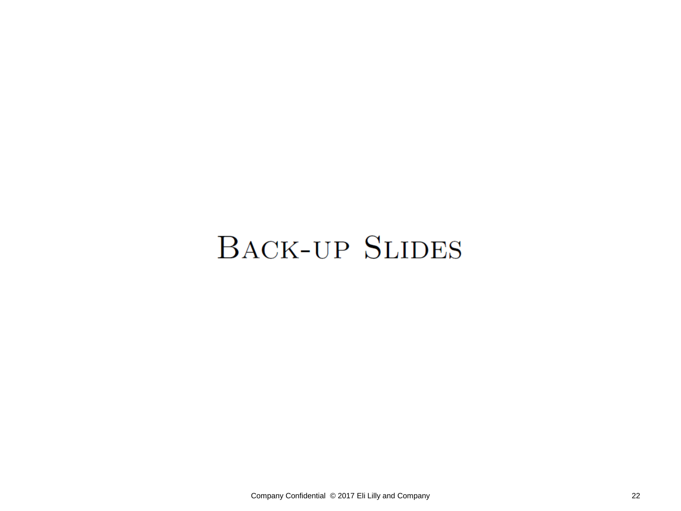## **BACK-UP SLIDES**